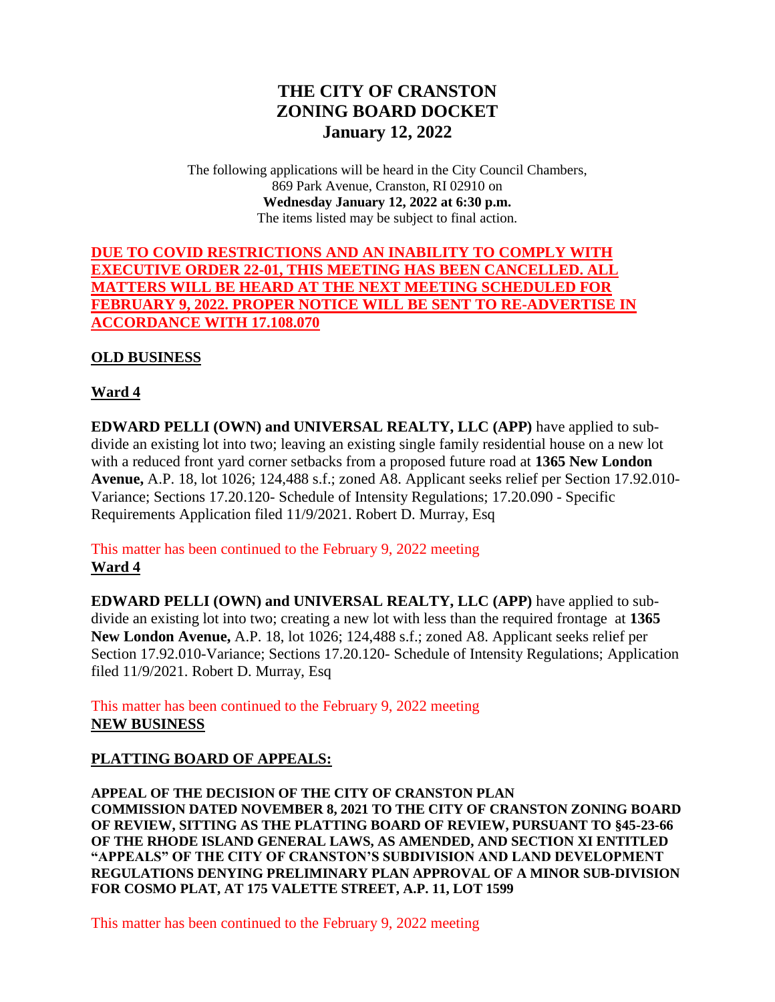# **THE CITY OF CRANSTON ZONING BOARD DOCKET January 12, 2022**

The following applications will be heard in the City Council Chambers, 869 Park Avenue, Cranston, RI 02910 on **Wednesday January 12, 2022 at 6:30 p.m.** The items listed may be subject to final action.

## **DUE TO COVID RESTRICTIONS AND AN INABILITY TO COMPLY WITH EXECUTIVE ORDER 22-01, THIS MEETING HAS BEEN CANCELLED. ALL MATTERS WILL BE HEARD AT THE NEXT MEETING SCHEDULED FOR FEBRUARY 9, 2022. PROPER NOTICE WILL BE SENT TO RE-ADVERTISE IN ACCORDANCE WITH 17.108.070**

#### **OLD BUSINESS**

#### **Ward 4**

**EDWARD PELLI (OWN) and UNIVERSAL REALTY, LLC (APP)** have applied to subdivide an existing lot into two; leaving an existing single family residential house on a new lot with a reduced front yard corner setbacks from a proposed future road at **1365 New London Avenue,** A.P. 18, lot 1026; 124,488 s.f.; zoned A8. Applicant seeks relief per Section 17.92.010- Variance; Sections 17.20.120- Schedule of Intensity Regulations; 17.20.090 - Specific Requirements Application filed 11/9/2021. Robert D. Murray, Esq

#### This matter has been continued to the February 9, 2022 meeting **Ward 4**

**EDWARD PELLI (OWN) and UNIVERSAL REALTY, LLC (APP)** have applied to subdivide an existing lot into two; creating a new lot with less than the required frontage at **1365 New London Avenue,** A.P. 18, lot 1026; 124,488 s.f.; zoned A8. Applicant seeks relief per Section 17.92.010-Variance; Sections 17.20.120- Schedule of Intensity Regulations; Application filed 11/9/2021. Robert D. Murray, Esq

This matter has been continued to the February 9, 2022 meeting **NEW BUSINESS**

## **PLATTING BOARD OF APPEALS:**

**APPEAL OF THE DECISION OF THE CITY OF CRANSTON PLAN COMMISSION DATED NOVEMBER 8, 2021 TO THE CITY OF CRANSTON ZONING BOARD OF REVIEW, SITTING AS THE PLATTING BOARD OF REVIEW, PURSUANT TO §45-23-66 OF THE RHODE ISLAND GENERAL LAWS, AS AMENDED, AND SECTION XI ENTITLED "APPEALS" OF THE CITY OF CRANSTON'S SUBDIVISION AND LAND DEVELOPMENT REGULATIONS DENYING PRELIMINARY PLAN APPROVAL OF A MINOR SUB-DIVISION FOR COSMO PLAT, AT 175 VALETTE STREET, A.P. 11, LOT 1599**

This matter has been continued to the February 9, 2022 meeting